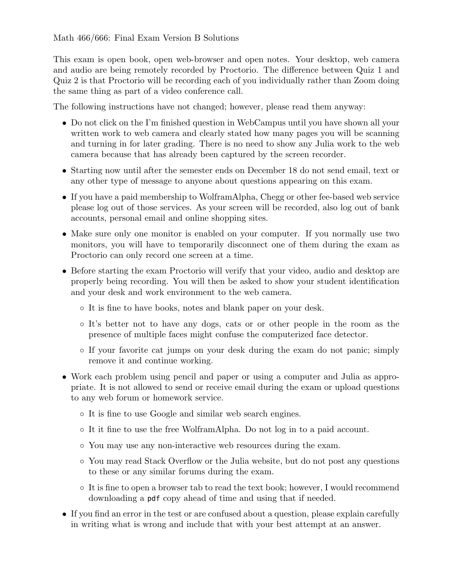This exam is open book, open web-browser and open notes. Your desktop, web camera and audio are being remotely recorded by Proctorio. The difference between Quiz 1 and Quiz 2 is that Proctorio will be recording each of you individually rather than Zoom doing the same thing as part of a video conference call.

The following instructions have not changed; however, please read them anyway:

- Do not click on the I'm finished question in WebCampus until you have shown all your written work to web camera and clearly stated how many pages you will be scanning and turning in for later grading. There is no need to show any Julia work to the web camera because that has already been captured by the screen recorder.
- *•* Starting now until after the semester ends on December 18 do not send email, text or any other type of message to anyone about questions appearing on this exam.
- If you have a paid membership to WolframAlpha, Chegg or other fee-based web service please log out of those services. As your screen will be recorded, also log out of bank accounts, personal email and online shopping sites.
- Make sure only one monitor is enabled on your computer. If you normally use two monitors, you will have to temporarily disconnect one of them during the exam as Proctorio can only record one screen at a time.
- Before starting the exam Proctorio will verify that your video, audio and desktop are properly being recording. You will then be asked to show your student identification and your desk and work environment to the web camera.
	- *◦* It is fine to have books, notes and blank paper on your desk.
	- *◦* It's better not to have any dogs, cats or or other people in the room as the presence of multiple faces might confuse the computerized face detector.
	- *◦* If your favorite cat jumps on your desk during the exam do not panic; simply remove it and continue working.
- *•* Work each problem using pencil and paper or using a computer and Julia as appropriate. It is not allowed to send or receive email during the exam or upload questions to any web forum or homework service.
	- *◦* It is fine to use Google and similar web search engines.
	- *◦* It it fine to use the free WolframAlpha. Do not log in to a paid account.
	- *◦* You may use any non-interactive web resources during the exam.
	- *◦* You may read Stack Overflow or the Julia website, but do not post any questions to these or any similar forums during the exam.
	- *◦* It is fine to open a browser tab to read the text book; however, I would recommend downloading a pdf copy ahead of time and using that if needed.
- If you find an error in the test or are confused about a question, please explain carefully in writing what is wrong and include that with your best attempt at an answer.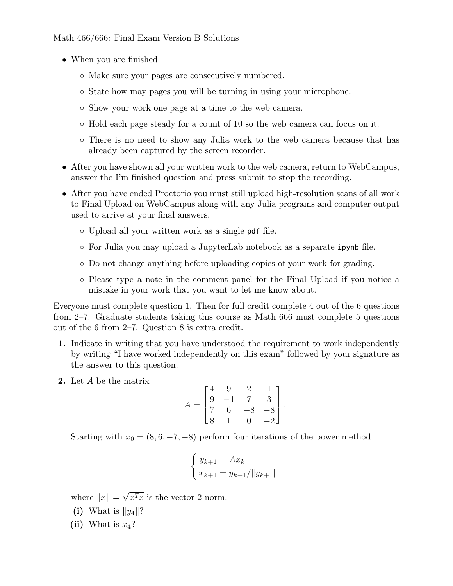- *•* When you are finished
	- *◦* Make sure your pages are consecutively numbered.
	- *◦* State how may pages you will be turning in using your microphone.
	- *◦* Show your work one page at a time to the web camera.
	- *◦* Hold each page steady for a count of 10 so the web camera can focus on it.
	- *◦* There is no need to show any Julia work to the web camera because that has already been captured by the screen recorder.
- After you have shown all your written work to the web camera, return to WebCampus, answer the I'm finished question and press submit to stop the recording.
- After you have ended Proctorio you must still upload high-resolution scans of all work to Final Upload on WebCampus along with any Julia programs and computer output used to arrive at your final answers.
	- *◦* Upload all your written work as a single pdf file.
	- *◦* For Julia you may upload a JupyterLab notebook as a separate ipynb file.
	- *◦* Do not change anything before uploading copies of your work for grading.
	- *◦* Please type a note in the comment panel for the Final Upload if you notice a mistake in your work that you want to let me know about.

Everyone must complete question 1. Then for full credit complete 4 out of the 6 questions from 2–7. Graduate students taking this course as Math 666 must complete 5 questions out of the 6 from 2–7. Question 8 is extra credit.

- **1.** Indicate in writing that you have understood the requirement to work independently by writing "I have worked independently on this exam" followed by your signature as the answer to this question.
- **2.** Let *A* be the matrix

$$
A = \begin{bmatrix} 4 & 9 & 2 & 1 \\ 9 & -1 & 7 & 3 \\ 7 & 6 & -8 & -8 \\ 8 & 1 & 0 & -2 \end{bmatrix}.
$$

Starting with  $x_0 = (8, 6, -7, -8)$  perform four iterations of the power method

$$
\begin{cases} y_{k+1} = Ax_k \\ x_{k+1} = y_{k+1}/\|y_{k+1}\| \end{cases}
$$

where  $||x|| =$ *√*  $x^T x$  is the vector 2-norm.

- **(i)** What is  $||y_4||$ ?
- (ii) What is  $x_4$ ?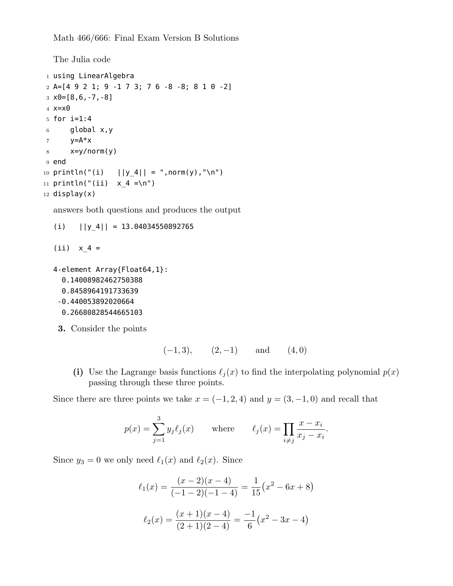The Julia code

```
1 using LinearAlgebra
2 A=[4 9 2 1; 9 -1 7 3; 7 6 -8 -8; 8 1 0 -2]
3 \times 0 = [8, 6, -7, -8]4 \text{ } x = \times 05 for i=1:4
6 global x,y
7 y=A^*x8 \times = y/norm(y)9 end
10 println("(i) ||y_4|| = "norm(y), "\n")11 println("(ii) x_4 = \n\begin{bmatrix} n' \\ n' \end{bmatrix}12 display(x)
```
answers both questions and produces the output

 $(i)$  ||y\_4|| = 13.04034550892765  $(ii) \, x_4 =$ 4-element Array{Float64,1}: 0.14008982462750388 0.8458964191733639 -0.440053892020664 0.26680828544665103

**3.** Consider the points

$$
(-1,3),
$$
  $(2,-1)$  and  $(4,0)$ 

(i) Use the Lagrange basis functions  $\ell_j(x)$  to find the interpolating polynomial  $p(x)$ passing through these three points.

Since there are three points we take  $x = (-1, 2, 4)$  and  $y = (3, -1, 0)$  and recall that

$$
p(x) = \sum_{j=1}^{3} y_j \ell_j(x) \quad \text{where} \quad \ell_j(x) = \prod_{i \neq j} \frac{x - x_i}{x_j - x_i}.
$$

Since  $y_3 = 0$  we only need  $\ell_1(x)$  and  $\ell_2(x)$ . Since

$$
\ell_1(x) = \frac{(x-2)(x-4)}{(-1-2)(-1-4)} = \frac{1}{15}(x^2 - 6x + 8)
$$

$$
\ell_2(x) = \frac{(x+1)(x-4)}{(2+1)(2-4)} = \frac{-1}{6}(x^2 - 3x - 4)
$$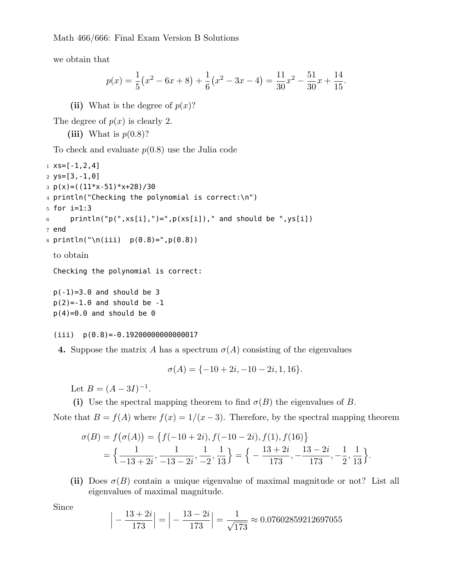we obtain that

$$
p(x) = \frac{1}{5}(x^2 - 6x + 8) + \frac{1}{6}(x^2 - 3x - 4) = \frac{11}{30}x^2 - \frac{51}{30}x + \frac{14}{15}.
$$

(ii) What is the degree of  $p(x)$ ?

The degree of  $p(x)$  is clearly 2.

(iii) What is  $p(0.8)$ ?

To check and evaluate *p*(0*.*8) use the Julia code

```
1 \times s = [-1, 2, 4]2 ys=[3,-1,0]3 p(x)=((11*x-51)*x+28)/304 println("Checking the polynomial is correct:\n")
5 for i=1:3
6 println("p(", xs[i],") =",p(xs[i])," and should be ",ys[i])7 end
8 println("\n(iii) p(0.8)=", p(0.8))
 to obtain
 Checking the polynomial is correct:
 p(-1)=3.0 and should be 3
 p(2) = -1.0 and should be -1p(4)=0.0 and should be 0
```
## (iii) p(0.8)=-0.19200000000000017

**4.** Suppose the matrix *A* has a spectrum  $\sigma(A)$  consisting of the eigenvalues

$$
\sigma(A) = \{-10 + 2i, -10 - 2i, 1, 16\}.
$$

Let  $B = (A - 3I)^{-1}$ .

**(i)** Use the spectral mapping theorem to find  $\sigma(B)$  the eigenvalues of *B*.

Note that  $B = f(A)$  where  $f(x) = 1/(x-3)$ . Therefore, by the spectral mapping theorem

$$
\sigma(B) = f(\sigma(A)) = \left\{ f(-10+2i), f(-10-2i), f(1), f(16) \right\}
$$
  
= 
$$
\left\{ \frac{1}{-13+2i}, \frac{1}{-13-2i}, \frac{1}{-2}, \frac{1}{13} \right\} = \left\{ -\frac{13+2i}{173}, -\frac{13-2i}{173}, -\frac{1}{2}, \frac{1}{13} \right\}.
$$

(ii) Does  $\sigma(B)$  contain a unique eigenvalue of maximal magnitude or not? List all eigenvalues of maximal magnitude.

Since

$$
\left| -\frac{13+2i}{173} \right| = \left| -\frac{13-2i}{173} \right| = \frac{1}{\sqrt{173}} \approx 0.07602859212697055
$$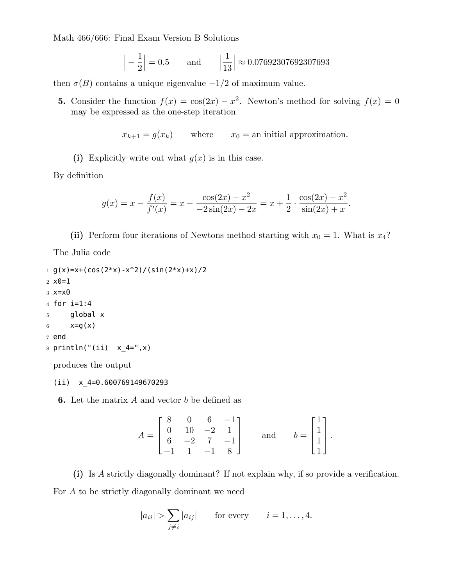$$
\left| -\frac{1}{2} \right| = 0.5
$$
 and  $\left| \frac{1}{13} \right| \approx 0.07692307692307693$ 

then  $\sigma(B)$  contains a unique eigenvalue  $-1/2$  of maximum value.

**5.** Consider the function  $f(x) = \cos(2x) - x^2$ . Newton's method for solving  $f(x) = 0$ may be expressed as the one-step iteration

$$
x_{k+1} = g(x_k)
$$
 where  $x_0 =$  an initial approximation.

**(i)** Explicitly write out what  $g(x)$  is in this case.

By definition

$$
g(x) = x - \frac{f(x)}{f'(x)} = x - \frac{\cos(2x) - x^2}{-2\sin(2x) - 2x} = x + \frac{1}{2} \cdot \frac{\cos(2x) - x^2}{\sin(2x) + x}.
$$

(ii) Perform four iterations of Newtons method starting with  $x_0 = 1$ . What is  $x_4$ ? The Julia code

```
1 g(x)=x+(cos(2*x)-x^2)/(sin(2*x)+x)/22 \times 0=13 x=x0
4 for i=1:4
5 global x
6 x=g(x)7 end
8 println("(ii) x_4 = ", x)
```
produces the output

(ii) x\_4=0.600769149670293

**6.** Let the matrix *A* and vector *b* be defined as

$$
A = \begin{bmatrix} 8 & 0 & 6 & -1 \\ 0 & 10 & -2 & 1 \\ 6 & -2 & 7 & -1 \\ -1 & 1 & -1 & 8 \end{bmatrix} \quad \text{and} \quad b = \begin{bmatrix} 1 \\ 1 \\ 1 \\ 1 \end{bmatrix}.
$$

**(i)** Is *A* strictly diagonally dominant? If not explain why, if so provide a verification. For *A* to be strictly diagonally dominant we need

$$
|a_{ii}| > \sum_{j \neq i} |a_{ij}| \qquad \text{for every} \qquad i = 1, \dots, 4.
$$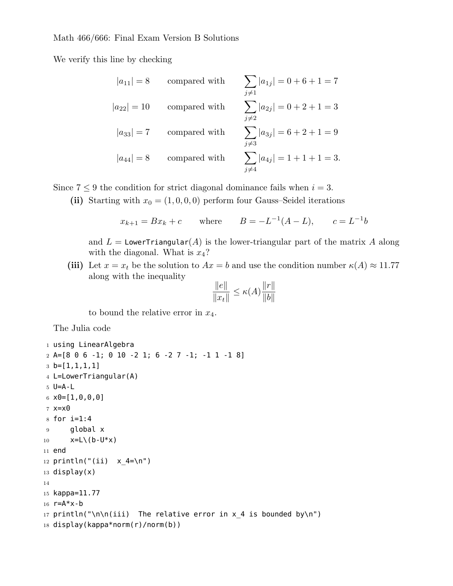We verify this line by checking

$$
|a_{11}| = 8 \t\text{compared with} \t\sum_{j \neq 1} |a_{1j}| = 0 + 6 + 1 = 7
$$
  
\n
$$
|a_{22}| = 10 \t\text{compared with} \t\sum_{j \neq 2} |a_{2j}| = 0 + 2 + 1 = 3
$$
  
\n
$$
|a_{33}| = 7 \t\text{compared with} \t\sum_{j \neq 3} |a_{3j}| = 6 + 2 + 1 = 9
$$
  
\n
$$
|a_{44}| = 8 \t\text{compared with} \t\sum_{j \neq 4} |a_{4j}| = 1 + 1 + 1 = 3.
$$

Since  $7 \leq 9$  the condition for strict diagonal dominance fails when  $i = 3$ .

(ii) Starting with  $x_0 = (1, 0, 0, 0)$  perform four Gauss–Seidel iterations

$$
x_{k+1} = Bx_k + c
$$
 where  $B = -L^{-1}(A - L),$   $c = L^{-1}b$ 

and  $L =$  LowerTriangular(*A*) is the lower-triangular part of the matrix *A* along with the diagonal. What is *x*4?

(iii) Let  $x = x_t$  be the solution to  $Ax = b$  and use the condition number  $\kappa(A) \approx 11.77$ along with the inequality

$$
\frac{\|e\|}{\|x_t\|} \le \kappa(A) \frac{\|r\|}{\|b\|}
$$

to bound the relative error in *x*4.

The Julia code

```
1 using LinearAlgebra
2 A=[8 0 6 -1; 0 10 -2 1; 6 -2 7 -1; -1 1 -1 8]
3 b=[1,1,1,1]
4 L=LowerTriangular(A)
5 U=A-L
6 \times 0 = [1, 0, 0, 0]7 \text{ X}=X\theta8 for i=1:4
9 global x
10 x=L\ (b-U^*x)11 end
12 println("(ii) x_4=\n\frac{1}{n}13 display(x)
14
15 kappa=11.77
16 r = A * x - b17 println("\n\n(iii) The relative error in x_4 is bounded by\n")
18 display(kappa*norm(r)/norm(b))
```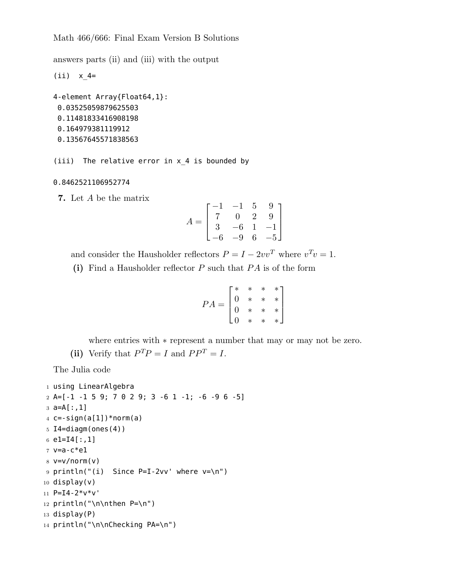answers parts (ii) and (iii) with the output

 $(ii) \times 4=$ 

4-element Array{Float64,1}: 0.03525059879625503 0.11481833416908198 0.164979381119912 0.13567645571838563

(iii) The relative error in x\_4 is bounded by

## 0.8462521106952774

**7.** Let *A* be the matrix

$$
A = \begin{bmatrix} -1 & -1 & 5 & 9 \\ 7 & 0 & 2 & 9 \\ 3 & -6 & 1 & -1 \\ -6 & -9 & 6 & -5 \end{bmatrix}
$$

and consider the Hausholder reflectors  $P = I - 2vv^T$  where  $v^Tv = 1$ .

**(i)** Find a Hausholder reflector *P* such that *P A* is of the form

$$
PA = \begin{bmatrix} * & * & * & * \\ 0 & * & * & * \\ 0 & * & * & * \\ 0 & * & * & * \end{bmatrix}
$$

where entries with *∗* represent a number that may or may not be zero.

(ii) Verify that  $P^{T}P = I$  and  $PP^{T} = I$ .

The Julia code

```
1 using LinearAlgebra
2 A=[-1 -1 5 9; 7 0 2 9; 3 -6 1 -1; -6 -9 6 -5]
3 a=A[:,1]
4 c=-sign(a[1])*norm(a)
5 I4=diagm(ones(4))
6 e1=I4[:,1]
7 \text{ v=a-c*}e18 \text{ V=V}/norm(v)9 println("(i) Since P=I-2vv' where v=\n")
10 display(v)
11 P=I4-2*v*v'
12 println("\n\nthen P=\n")
13 display(P)
14 println("\n\nChecking PA=\n")
```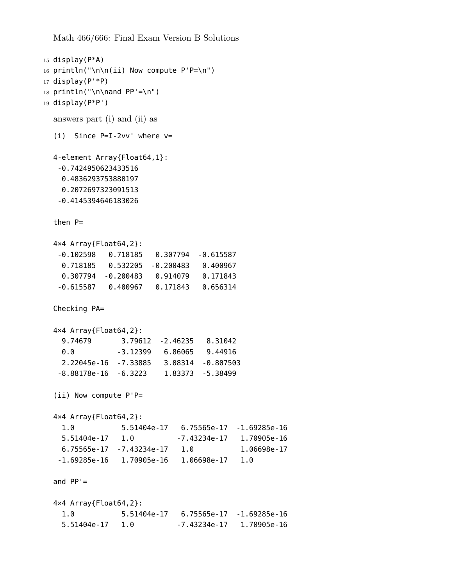```
15 display(P*A)
16 println("\n\n(ii) Now compute P'P=\n")
17 display(P'*P)
18 println("\n\nand PP'=\n")
19 display(P*P')
  answers part (i) and (ii) as
  (i) Since P=I-2vv' where v=
  4-element Array{Float64,1}:
   -0.7424950623433516
    0.4836293753880197
    0.2072697323091513
  -0.4145394646183026
  then P=
  4×4 Array{Float64,2}:
  -0.102598 0.718185 0.307794 -0.615587
    0.718185 0.532205 -0.200483 0.400967
   0.307794 -0.200483 0.914079 0.171843
  -0.615587 0.400967 0.171843 0.656314
  Checking PA=
  4×4 Array{Float64,2}:
    9.74679 3.79612 -2.46235 8.31042
    0.0 -3.12399 6.86065 9.44916
    2.22045e-16 -7.33885 3.08314 -0.807503
   -8.88178e-16 -6.3223 1.83373 -5.38499
  (ii) Now compute P'P=
  4×4 Array{Float64,2}:
    1.0 5.51404e-17 6.75565e-17 -1.69285e-16
    5.51404e-17 1.0 -7.43234e-17 1.70905e-16
    6.75565e-17 -7.43234e-17 1.0 1.06698e-17
   -1.69285e-16 1.70905e-16 1.06698e-17 1.0
  and PP' =4×4 Array{Float64,2}:
    1.0 5.51404e-17 6.75565e-17 -1.69285e-16
    5.51404e-17 1.0 -7.43234e-17 1.70905e-16
```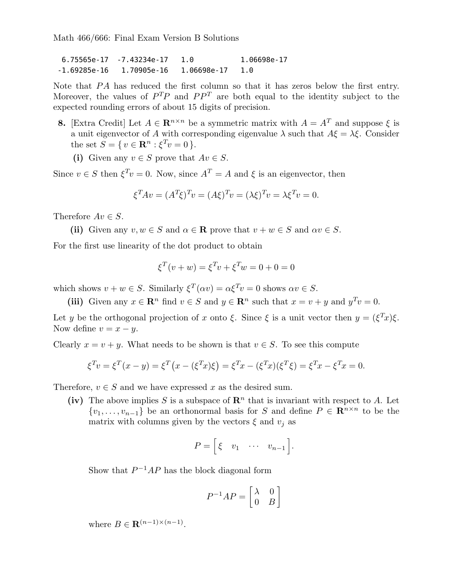6.75565e-17 -7.43234e-17 1.0 1.06698e-17 -1.69285e-16 1.70905e-16 1.06698e-17 1.0

Note that *PA* has reduced the first column so that it has zeros below the first entry. Moreover, the values of  $P^T P$  and  $P P^T$  are both equal to the identity subject to the expected rounding errors of about 15 digits of precision.

**8.** [Extra Credit] Let  $A \in \mathbb{R}^{n \times n}$  be a symmetric matrix with  $A = A^T$  and suppose  $\xi$  is a unit eigenvector of *A* with corresponding eigenvalue  $\lambda$  such that  $A\xi = \lambda \xi$ . Consider the set  $S = \{ v \in \mathbb{R}^n : \xi^T v = 0 \}.$ 

(i) Given any  $v \in S$  prove that  $Av \in S$ .

Since  $v \in S$  then  $\xi^T v = 0$ . Now, since  $A^T = A$  and  $\xi$  is an eigenvector, then

$$
\xi^T A v = (A^T \xi)^T v = (A \xi)^T v = (\lambda \xi)^T v = \lambda \xi^T v = 0.
$$

Therefore  $Av \in S$ .

(ii) Given any  $v, w \in S$  and  $\alpha \in \mathbb{R}$  prove that  $v + w \in S$  and  $\alpha v \in S$ .

For the first use linearity of the dot product to obtain

$$
\xi^T(v + w) = \xi^T v + \xi^T w = 0 + 0 = 0
$$

which shows  $v + w \in S$ . Similarly  $\xi^T(\alpha v) = \alpha \xi^T v = 0$  shows  $\alpha v \in S$ .

(iii) Given any  $x \in \mathbb{R}^n$  find  $v \in S$  and  $y \in \mathbb{R}^n$  such that  $x = v + y$  and  $y^T v = 0$ .

Let *y* be the orthogonal projection of *x* onto *ξ*. Since *ξ* is a unit vector then  $y = (\xi^T x)\xi$ . Now define  $v = x - y$ .

Clearly  $x = v + y$ . What needs to be shown is that  $v \in S$ . To see this compute

$$
\xi^T v = \xi^T (x - y) = \xi^T (x - (\xi^T x)\xi) = \xi^T x - (\xi^T x)(\xi^T \xi) = \xi^T x - \xi^T x = 0.
$$

Therefore,  $v \in S$  and we have expressed x as the desired sum.

(iv) The above implies S is a subspace of  $\mathbb{R}^n$  that is invariant with respect to A. Let *{v*<sub>1</sub>*, . . . , v*<sub>*n*−1</sub>} be an orthonormal basis for *S* and define  $P \in \mathbb{R}^{n \times n}$  to be the matrix with columns given by the vectors  $\xi$  and  $v_j$  as

$$
P = \Big[ \begin{matrix} \xi & v_1 & \cdots & v_{n-1} \end{matrix} \Big].
$$

Show that *P <sup>−</sup>*<sup>1</sup>*AP* has the block diagonal form

$$
P^{-1}AP = \begin{bmatrix} \lambda & 0 \\ 0 & B \end{bmatrix}
$$

where  $B \in \mathbf{R}^{(n-1)\times(n-1)}$ .